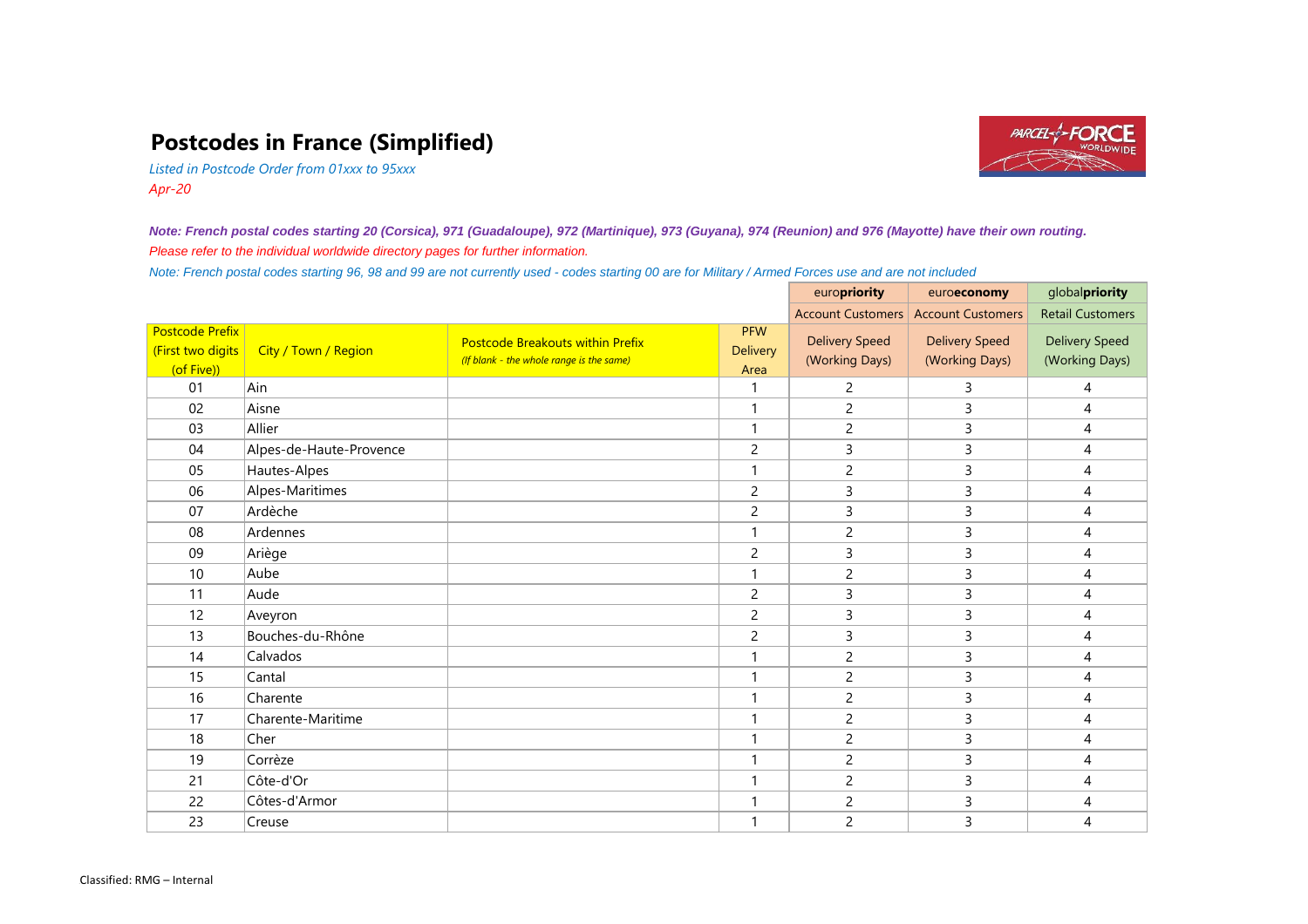## **Postcodes in France (Simplified)**



*Listed in Postcode Order from 01xxx to 95xxx Apr-20*

*Note: French postal codes starting 20 (Corsica), 971 (Guadaloupe), 972 (Martinique), 973 (Guyana), 974 (Reunion) and 976 (Mayotte) have their own routing. Please refer to the individual worldwide directory pages for further information.*

*Note: French postal codes starting 96, 98 and 99 are not currently used - codes starting 00 are for Military / Armed Forces use and are not included*

|                                                           |                         |                                                                                     |                                       | europriority                            | euroeconomy                             | globalpriority                          |
|-----------------------------------------------------------|-------------------------|-------------------------------------------------------------------------------------|---------------------------------------|-----------------------------------------|-----------------------------------------|-----------------------------------------|
|                                                           |                         |                                                                                     |                                       | <b>Account Customers</b>                | <b>Account Customers</b>                | <b>Retail Customers</b>                 |
| <b>Postcode Prefix</b><br>(First two digits<br>(of Five)) | City / Town / Region    | <b>Postcode Breakouts within Prefix</b><br>(If blank - the whole range is the same) | <b>PFW</b><br><b>Delivery</b><br>Area | <b>Delivery Speed</b><br>(Working Days) | <b>Delivery Speed</b><br>(Working Days) | <b>Delivery Speed</b><br>(Working Days) |
| 01                                                        | Ain                     |                                                                                     |                                       | $\overline{c}$                          | 3                                       | 4                                       |
| 02                                                        | Aisne                   |                                                                                     | 1                                     | $\overline{2}$                          | 3                                       | 4                                       |
| 03                                                        | Allier                  |                                                                                     |                                       | $\overline{c}$                          | 3                                       | 4                                       |
| 04                                                        | Alpes-de-Haute-Provence |                                                                                     | $\overline{2}$                        | 3                                       | 3                                       | $\overline{4}$                          |
| 05                                                        | Hautes-Alpes            |                                                                                     |                                       | $\overline{2}$                          | 3                                       | $\overline{4}$                          |
| 06                                                        | Alpes-Maritimes         |                                                                                     | $\overline{2}$                        | 3                                       | 3                                       | 4                                       |
| 07                                                        | Ardèche                 |                                                                                     | $\overline{c}$                        | 3                                       | 3                                       | 4                                       |
| 08                                                        | Ardennes                |                                                                                     |                                       | $\overline{c}$                          | 3                                       | 4                                       |
| 09                                                        | Ariège                  |                                                                                     | $\overline{2}$                        | 3                                       | 3                                       | 4                                       |
| 10                                                        | Aube                    |                                                                                     |                                       | $\overline{c}$                          | 3                                       | 4                                       |
| 11                                                        | Aude                    |                                                                                     | $\overline{2}$                        | 3                                       | 3                                       | $\overline{4}$                          |
| 12                                                        | Aveyron                 |                                                                                     | $\overline{2}$                        | 3                                       | 3                                       | 4                                       |
| 13                                                        | Bouches-du-Rhône        |                                                                                     | $\overline{2}$                        | 3                                       | 3                                       | 4                                       |
| 14                                                        | Calvados                |                                                                                     | 1                                     | $\overline{c}$                          | 3                                       | 4                                       |
| 15                                                        | Cantal                  |                                                                                     |                                       | $\overline{c}$                          | 3                                       | 4                                       |
| 16                                                        | Charente                |                                                                                     |                                       | $\overline{c}$                          | 3                                       | $\overline{4}$                          |
| 17                                                        | Charente-Maritime       |                                                                                     |                                       | $\overline{2}$                          | 3                                       | 4                                       |
| 18                                                        | Cher                    |                                                                                     | $\mathbf{1}$                          | $\overline{2}$                          | 3                                       | 4                                       |
| 19                                                        | Corrèze                 |                                                                                     | $\mathbf{1}$                          | $\overline{2}$                          | 3                                       | 4                                       |
| 21                                                        | Côte-d'Or               |                                                                                     | 1                                     | $\overline{c}$                          | 3                                       | 4                                       |
| 22                                                        | Côtes-d'Armor           |                                                                                     |                                       | $\overline{c}$                          | 3                                       | 4                                       |
| 23                                                        | Creuse                  |                                                                                     |                                       | $\overline{c}$                          | 3                                       | 4                                       |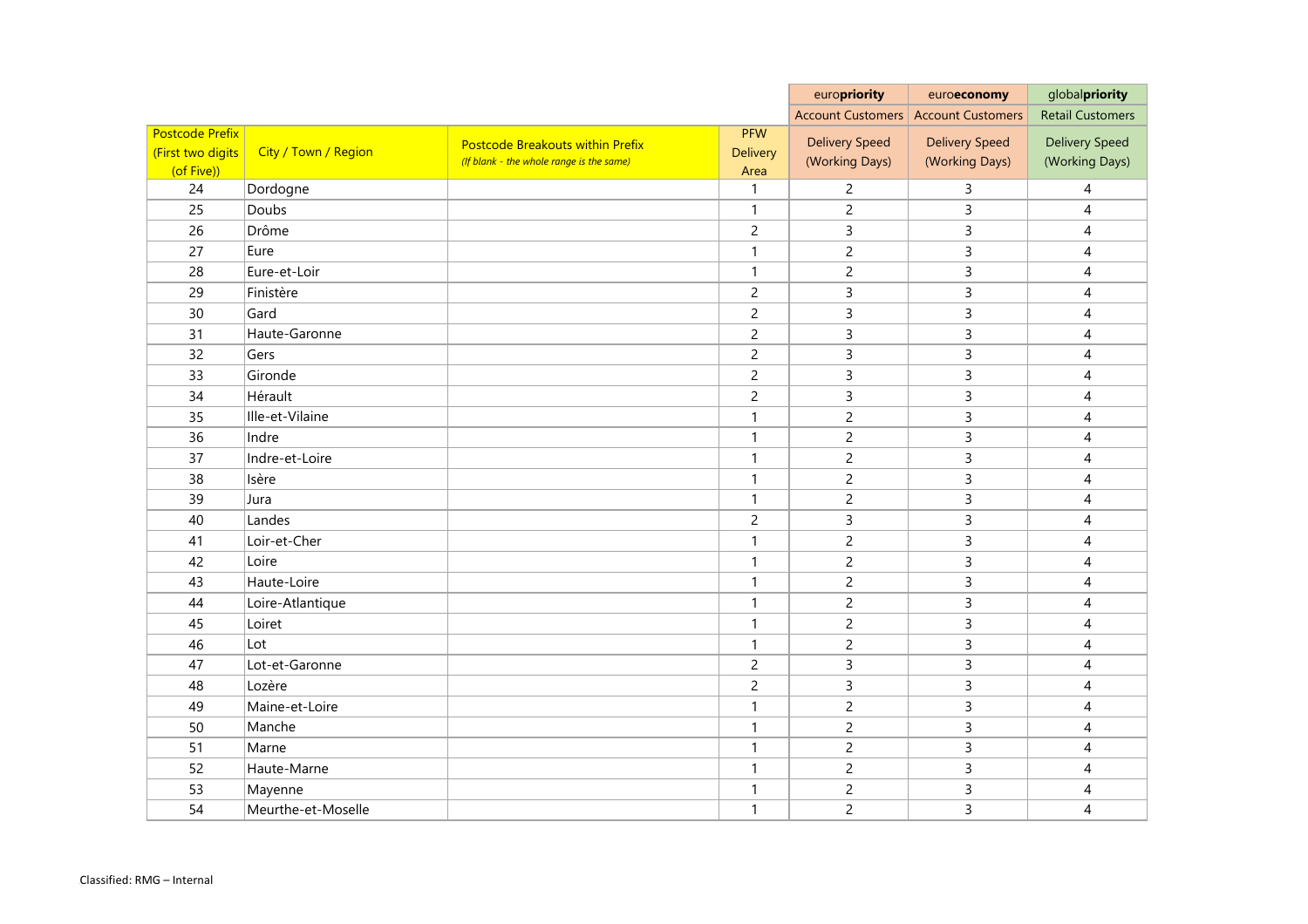|                                                           |                      |                                                                                     |                                       | europriority                            | euroeconomy                             | globalpriority                          |
|-----------------------------------------------------------|----------------------|-------------------------------------------------------------------------------------|---------------------------------------|-----------------------------------------|-----------------------------------------|-----------------------------------------|
|                                                           |                      |                                                                                     |                                       | <b>Account Customers</b>                | <b>Account Customers</b>                | <b>Retail Customers</b>                 |
| <b>Postcode Prefix</b><br>(First two digits<br>(of Five)) | City / Town / Region | <b>Postcode Breakouts within Prefix</b><br>(If blank - the whole range is the same) | <b>PFW</b><br><b>Delivery</b><br>Area | <b>Delivery Speed</b><br>(Working Days) | <b>Delivery Speed</b><br>(Working Days) | <b>Delivery Speed</b><br>(Working Days) |
| 24                                                        | Dordogne             |                                                                                     |                                       | $\overline{2}$                          | 3                                       | 4                                       |
| 25                                                        | Doubs                |                                                                                     | 1                                     | $\overline{2}$                          | 3                                       | $\overline{4}$                          |
| 26                                                        | Drôme                |                                                                                     | $\overline{c}$                        | $\mathsf{3}$                            | 3                                       | $\overline{4}$                          |
| 27                                                        | Eure                 |                                                                                     |                                       | $\overline{2}$                          | 3                                       | 4                                       |
| 28                                                        | Eure-et-Loir         |                                                                                     | 1                                     | $\overline{c}$                          | 3                                       | 4                                       |
| 29                                                        | Finistère            |                                                                                     | $\overline{2}$                        | $\mathsf{3}$                            | 3                                       | 4                                       |
| 30                                                        | Gard                 |                                                                                     | $\overline{2}$                        | 3                                       | 3                                       | $\overline{4}$                          |
| 31                                                        | Haute-Garonne        |                                                                                     | $\overline{2}$                        | 3                                       | 3                                       | 4                                       |
| 32                                                        | Gers                 |                                                                                     | $\overline{2}$                        | $\mathsf{3}$                            | 3                                       | 4                                       |
| 33                                                        | Gironde              |                                                                                     | $\overline{2}$                        | 3                                       | 3                                       | $\overline{4}$                          |
| 34                                                        | Hérault              |                                                                                     | $\overline{c}$                        | 3                                       | 3                                       | $\overline{4}$                          |
| 35                                                        | Ille-et-Vilaine      |                                                                                     | 1                                     | $\overline{2}$                          | 3                                       | 4                                       |
| 36                                                        | Indre                |                                                                                     | 1                                     | $\overline{2}$                          | 3                                       | 4                                       |
| 37                                                        | Indre-et-Loire       |                                                                                     |                                       | $\overline{c}$                          | 3                                       | 4                                       |
| 38                                                        | Isère                |                                                                                     |                                       | $\overline{2}$                          | 3                                       | $\overline{4}$                          |
| 39                                                        | Jura                 |                                                                                     | 1                                     | $\overline{2}$                          | 3                                       | 4                                       |
| 40                                                        | Landes               |                                                                                     | $\overline{2}$                        | $\mathsf{3}$                            | 3                                       | $\overline{4}$                          |
| 41                                                        | Loir-et-Cher         |                                                                                     | 1                                     | $\overline{c}$                          | 3                                       | 4                                       |
| 42                                                        | Loire                |                                                                                     |                                       | $\overline{c}$                          | 3                                       | 4                                       |
| 43                                                        | Haute-Loire          |                                                                                     | 1                                     | $\overline{2}$                          | 3                                       | 4                                       |
| 44                                                        | Loire-Atlantique     |                                                                                     | 1                                     | $\overline{c}$                          | 3                                       | 4                                       |
| 45                                                        | Loiret               |                                                                                     |                                       | $\overline{2}$                          | 3                                       | 4                                       |
| 46                                                        | Lot                  |                                                                                     |                                       | $\overline{2}$                          | 3                                       | 4                                       |
| 47                                                        | Lot-et-Garonne       |                                                                                     | $\overline{2}$                        | $\mathsf{3}$                            | 3                                       | $\overline{4}$                          |
| 48                                                        | Lozère               |                                                                                     | $\overline{2}$                        | $\mathsf{3}$                            | $\overline{3}$                          | $\overline{4}$                          |
| 49                                                        | Maine-et-Loire       |                                                                                     |                                       | $\overline{2}$                          | 3                                       | $\overline{4}$                          |
| 50                                                        | Manche               |                                                                                     |                                       | $\overline{2}$                          | 3                                       | 4                                       |
| 51                                                        | Marne                |                                                                                     | $\mathbf{1}$                          | $\overline{2}$                          | 3                                       | 4                                       |
| 52                                                        | Haute-Marne          |                                                                                     |                                       | $\overline{2}$                          | 3                                       | 4                                       |
| 53                                                        | Mayenne              |                                                                                     |                                       | $\overline{2}$                          | 3                                       | 4                                       |
| 54                                                        | Meurthe-et-Moselle   |                                                                                     | $\mathbf{1}$                          | $\overline{2}$                          | $\overline{3}$                          | $\overline{4}$                          |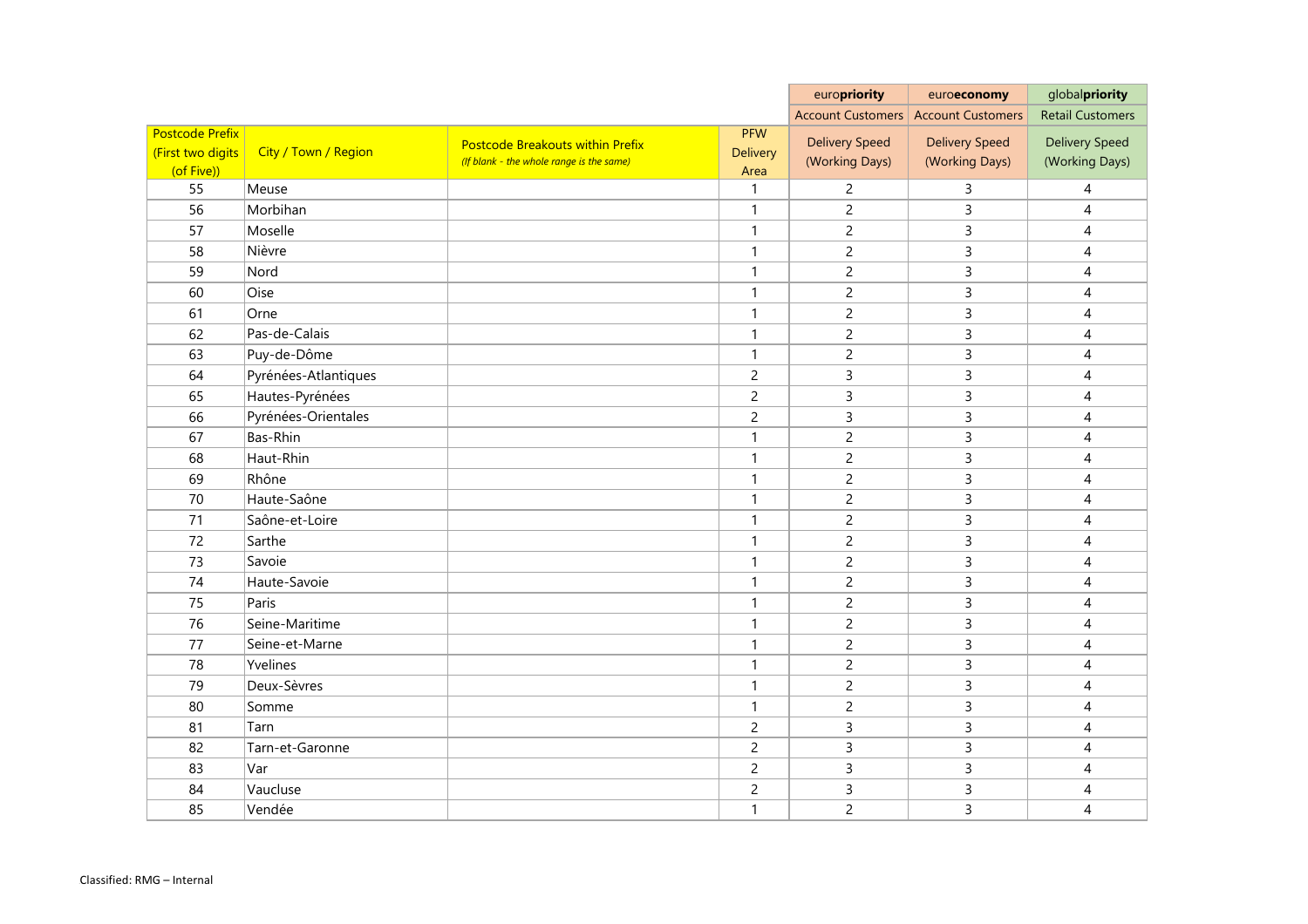|                        |                      |                                          |                 | europriority                     | euroeconomy              | globalpriority          |
|------------------------|----------------------|------------------------------------------|-----------------|----------------------------------|--------------------------|-------------------------|
|                        |                      |                                          |                 | <b>Account Customers</b>         | <b>Account Customers</b> | <b>Retail Customers</b> |
| <b>Postcode Prefix</b> |                      | <b>Postcode Breakouts within Prefix</b>  | <b>PFW</b>      | <b>Delivery Speed</b>            | <b>Delivery Speed</b>    | <b>Delivery Speed</b>   |
| (First two digits      | City / Town / Region | (If blank - the whole range is the same) | <b>Delivery</b> | (Working Days)                   | (Working Days)           | (Working Days)          |
| (of Five))<br>55       | Meuse                |                                          | Area<br>1       |                                  |                          |                         |
| 56                     | Morbihan             |                                          | 1               | $\overline{c}$<br>$\overline{c}$ | 3<br>3                   | 4                       |
| 57                     | Moselle              |                                          | 1               | $\overline{c}$                   | 3                        | 4                       |
| 58                     | Nièvre               |                                          | 1               |                                  | $\mathsf{3}$             | 4                       |
| 59                     | Nord                 |                                          | 1               | $\overline{c}$<br>$\overline{c}$ | 3                        | 4                       |
| 60                     | Oise                 |                                          | 1               |                                  | 3                        | 4                       |
| 61                     | Orne                 |                                          | 1               | $\overline{c}$                   | 3                        | 4                       |
| 62                     | Pas-de-Calais        |                                          | $\mathbf{1}$    | $\overline{c}$<br>$\overline{c}$ | 3                        | 4<br>4                  |
| 63                     | Puy-de-Dôme          |                                          | $\mathbf{1}$    | $\overline{c}$                   | $\mathsf 3$              | 4                       |
| 64                     | Pyrénées-Atlantiques |                                          | $\overline{c}$  | 3                                | 3                        | 4                       |
| 65                     | Hautes-Pyrénées      |                                          | $\overline{c}$  | 3                                | 3                        | 4                       |
| 66                     | Pyrénées-Orientales  |                                          | $\overline{c}$  | 3                                | $\mathsf{3}$             | 4                       |
| 67                     | Bas-Rhin             |                                          | 1               | $\overline{c}$                   | 3                        | 4                       |
| 68                     | Haut-Rhin            |                                          | 1               | $\overline{c}$                   | 3                        | 4                       |
| 69                     | Rhône                |                                          | 1               | $\overline{c}$                   | $\mathsf{3}$             | 4                       |
| 70                     | Haute-Saône          |                                          | $\mathbf{1}$    | $\overline{c}$                   | 3                        | 4                       |
| 71                     | Saône-et-Loire       |                                          | 1               | $\overline{c}$                   | 3                        | 4                       |
| 72                     | Sarthe               |                                          | 1               | $\overline{c}$                   | 3                        | 4                       |
| 73                     | Savoie               |                                          | 1               | $\overline{c}$                   | 3                        | 4                       |
| 74                     | Haute-Savoie         |                                          | $\mathbf{1}$    | $\overline{2}$                   | $\mathsf 3$              | 4                       |
| 75                     | Paris                |                                          | 1               | $\overline{c}$                   | 3                        | 4                       |
| 76                     | Seine-Maritime       |                                          | 1               | $\overline{2}$                   | 3                        | 4                       |
| 77                     | Seine-et-Marne       |                                          | -1              | $\overline{c}$                   | 3                        | 4                       |
| 78                     | Yvelines             |                                          | $\mathbf{1}$    | $\overline{2}$                   | 3                        | 4                       |
| 79                     | Deux-Sèvres          |                                          | $\mathbf{1}$    | $\overline{2}$                   | 3                        | $\overline{4}$          |
| 80                     | Somme                |                                          | $\mathbf{1}$    | $\overline{2}$                   | 3                        | $\overline{4}$          |
| 81                     | Tarn                 |                                          | $\overline{c}$  | $\mathsf{3}$                     | 3                        | $\overline{4}$          |
| 82                     | Tarn-et-Garonne      |                                          | $\overline{2}$  | $\mathsf{3}$                     | 3                        | 4                       |
| 83                     | Var                  |                                          | $\overline{c}$  | $\mathsf{3}$                     | 3                        | 4                       |
| 84                     | Vaucluse             |                                          | $\overline{2}$  | $\mathbf{3}$                     | $\mathsf{3}$             | $\overline{4}$          |
|                        | Vendée               |                                          | $\mathbf{1}$    |                                  | 3                        |                         |
| 85                     |                      |                                          |                 | $\overline{2}$                   |                          | 4                       |